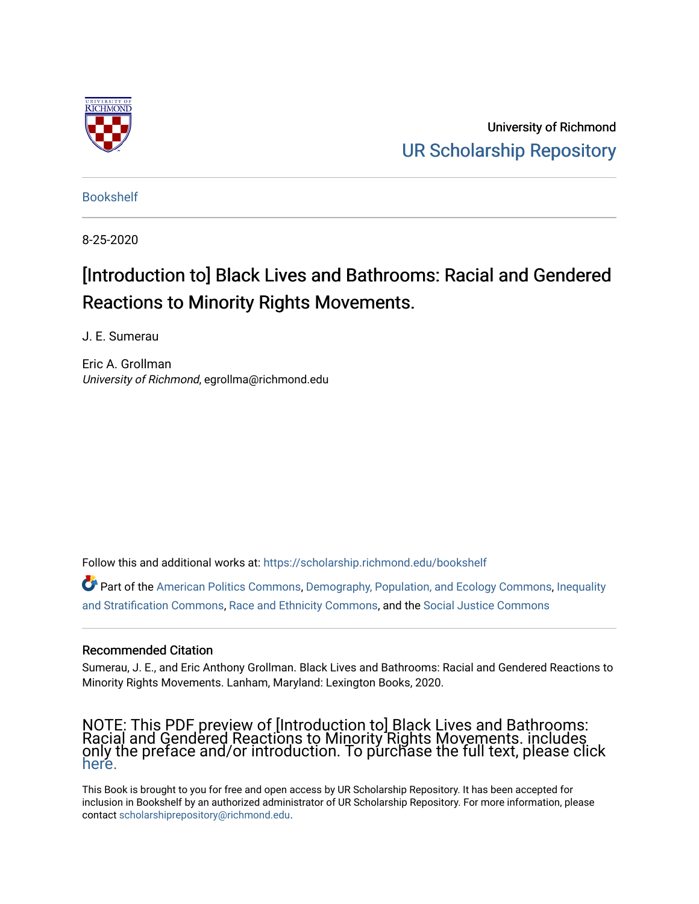

University of Richmond [UR Scholarship Repository](https://scholarship.richmond.edu/) 

[Bookshelf](https://scholarship.richmond.edu/bookshelf) 

8-25-2020

# [Introduction to] Black Lives and Bathrooms: Racial and Gendered Reactions to Minority Rights Movements.

J. E. Sumerau

Eric A. Grollman University of Richmond, egrollma@richmond.edu

Follow this and additional works at: [https://scholarship.richmond.edu/bookshelf](https://scholarship.richmond.edu/bookshelf?utm_source=scholarship.richmond.edu%2Fbookshelf%2F374&utm_medium=PDF&utm_campaign=PDFCoverPages) 

Part of the [American Politics Commons,](https://network.bepress.com/hgg/discipline/387?utm_source=scholarship.richmond.edu%2Fbookshelf%2F374&utm_medium=PDF&utm_campaign=PDFCoverPages) [Demography, Population, and Ecology Commons,](https://network.bepress.com/hgg/discipline/418?utm_source=scholarship.richmond.edu%2Fbookshelf%2F374&utm_medium=PDF&utm_campaign=PDFCoverPages) [Inequality](https://network.bepress.com/hgg/discipline/421?utm_source=scholarship.richmond.edu%2Fbookshelf%2F374&utm_medium=PDF&utm_campaign=PDFCoverPages)  [and Stratification Commons](https://network.bepress.com/hgg/discipline/421?utm_source=scholarship.richmond.edu%2Fbookshelf%2F374&utm_medium=PDF&utm_campaign=PDFCoverPages), [Race and Ethnicity Commons](https://network.bepress.com/hgg/discipline/426?utm_source=scholarship.richmond.edu%2Fbookshelf%2F374&utm_medium=PDF&utm_campaign=PDFCoverPages), and the [Social Justice Commons](https://network.bepress.com/hgg/discipline/1432?utm_source=scholarship.richmond.edu%2Fbookshelf%2F374&utm_medium=PDF&utm_campaign=PDFCoverPages) 

## Recommended Citation

Sumerau, J. E., and Eric Anthony Grollman. Black Lives and Bathrooms: Racial and Gendered Reactions to Minority Rights Movements. Lanham, Maryland: Lexington Books, 2020.

## NOTE: This PDF preview of [Introduction to] Black Lives and Bathrooms: Racial and Gendered Reactions to Minority Rights Movements. includes only the preface and/or introduction. To purchase the full text, please click [here.](https://rowman.com/ISBN/9781793609809/Black-Lives-and-Bathrooms-Racial-and-Gendered-Reactions-to-Minority-Rights-Movements)

This Book is brought to you for free and open access by UR Scholarship Repository. It has been accepted for inclusion in Bookshelf by an authorized administrator of UR Scholarship Repository. For more information, please contact [scholarshiprepository@richmond.edu](mailto:scholarshiprepository@richmond.edu).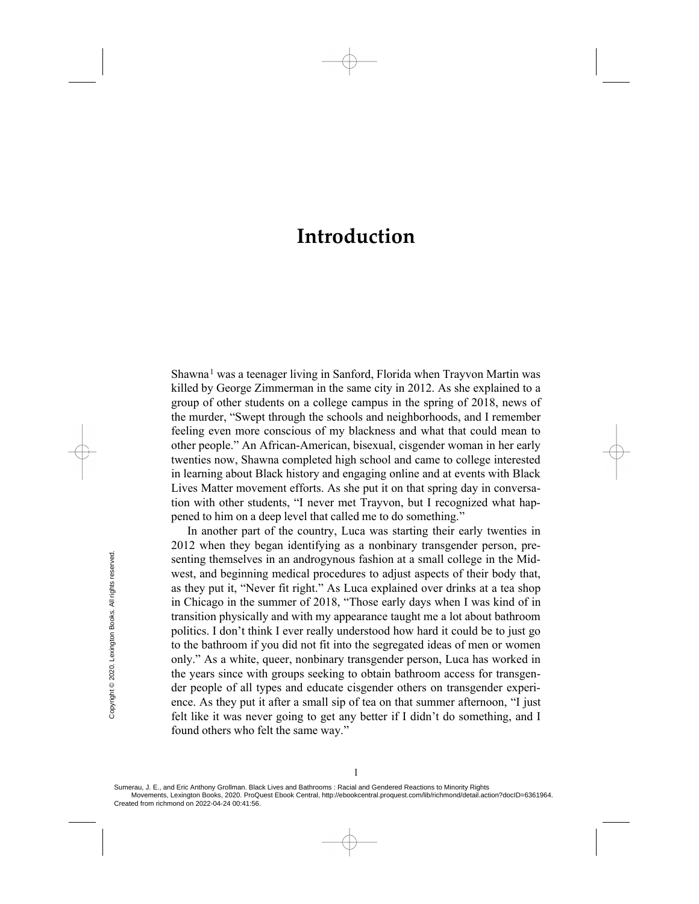Shawna<sup>[1](#page-12-0)</sup> was a teenager living in Sanford, Florida when Trayvon Martin was killed by George Zimmerman in the same city in 2012. As she explained to a group of other students on a college campus in the spring of 2018, news of the murder, "Swept through the schools and neighborhoods, and I remember feeling even more conscious of my blackness and what that could mean to other people." An African-American, bisexual, cisgender woman in her early twenties now, Shawna completed high school and came to college interested in learning about Black history and engaging online and at events with Black Lives Matter movement efforts. As she put it on that spring day in conversation with other students, "I never met Trayvon, but I recognized what happened to him on a deep level that called me to do something."

In another part of the country, Luca was starting their early twenties in 2012 when they began identifying as a nonbinary transgender person, presenting themselves in an androgynous fashion at a small college in the Midwest, and beginning medical procedures to adjust aspects of their body that, as they put it, "Never fit right." As Luca explained over drinks at a tea shop in Chicago in the summer of 2018, "Those early days when I was kind of in transition physically and with my appearance taught me a lot about bathroom politics. I don't think I ever really understood how hard it could be to just go to the bathroom if you did not fit into the segregated ideas of men or women only." As a white, queer, nonbinary transgender person, Luca has worked in the years since with groups seeking to obtain bathroom access for transgender people of all types and educate cisgender others on transgender experience. As they put it after a small sip of tea on that summer afternoon, "I just felt like it was never going to get any better if I didn't do something, and I found others who felt the same way." Example the second of the second from richmond on 2022-04-24 00:41:56. Created from richmond on 2022-04-24 00:41:56. Created from richmond on 2022-04-24 00:41:56.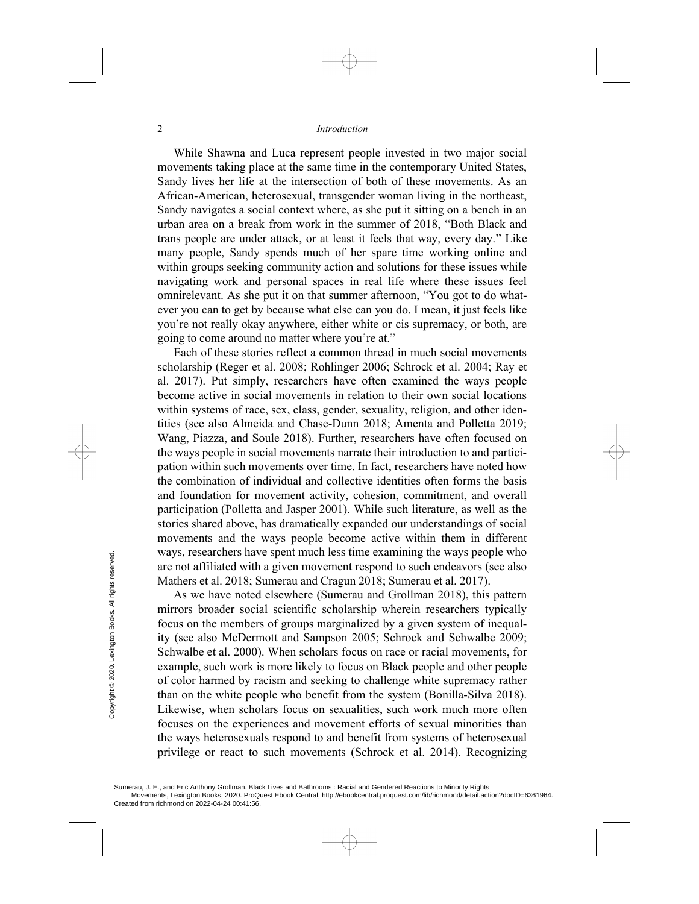While Shawna and Luca represent people invested in two major social movements taking place at the same time in the contemporary United States, Sandy lives her life at the intersection of both of these movements. As an African-American, heterosexual, transgender woman living in the northeast, Sandy navigates a social context where, as she put it sitting on a bench in an urban area on a break from work in the summer of 2018, "Both Black and trans people are under attack, or at least it feels that way, every day." Like many people, Sandy spends much of her spare time working online and within groups seeking community action and solutions for these issues while navigating work and personal spaces in real life where these issues feel omnirelevant. As she put it on that summer afternoon, "You got to do whatever you can to get by because what else can you do. I mean, it just feels like you're not really okay anywhere, either white or cis supremacy, or both, are going to come around no matter where you're at."

Each of these stories reflect a common thread in much social movements scholarship (Reger et al. 2008; Rohlinger 2006; Schrock et al. 2004; Ray et al. 2017). Put simply, researchers have often examined the ways people become active in social movements in relation to their own social locations within systems of race, sex, class, gender, sexuality, religion, and other identities (see also Almeida and Chase-Dunn 2018; Amenta and Polletta 2019; Wang, Piazza, and Soule 2018). Further, researchers have often focused on the ways people in social movements narrate their introduction to and participation within such movements over time. In fact, researchers have noted how the combination of individual and collective identities often forms the basis and foundation for movement activity, cohesion, commitment, and overall participation (Polletta and Jasper 2001). While such literature, as well as the stories shared above, has dramatically expanded our understandings of social movements and the ways people become active within them in different ways, researchers have spent much less time examining the ways people who are not affiliated with a given movement respond to such endeavors (see also Mathers et al. 2018; Sumerau and Cragun 2018; Sumerau et al. 2017).

As we have noted elsewhere (Sumerau and Grollman 2018), this pattern mirrors broader social scientific scholarship wherein researchers typically focus on the members of groups marginalized by a given system of inequality (see also McDermott and Sampson 2005; Schrock and Schwalbe 2009; Schwalbe et al. 2000). When scholars focus on race or racial movements, for example, such work is more likely to focus on Black people and other people of color harmed by racism and seeking to challenge white supremacy rather than on the white people who benefit from the system (Bonilla-Silva 2018). Likewise, when scholars focus on sexualities, such work much more often focuses on the experiences and movement efforts of sexual minorities than the ways heterosexuals respond to and benefit from systems of heterosexual privilege or react to such movements (Schrock et al. 2014). Recognizing Ways, researchers have<br>are not affiliated with<br>the Mathers et al. 2018; S<br>As we have noted<br>mirrors broader social<br>focus on the member:<br>ity (see also McDern<br>Schwalbe et al. 2000)<br>example, such work is<br>of color harmed by ra<br>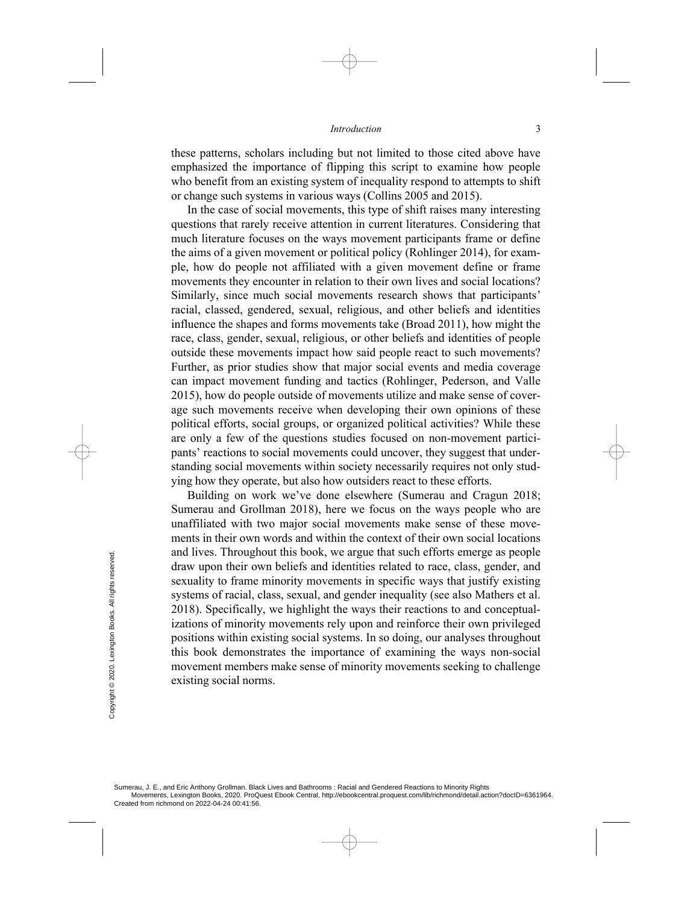these patterns, scholars including but not limited to those cited above have emphasized the importance of flipping this script to examine how people who benefit from an existing system of inequality respond to attempts to shift or change such systems in various ways (Collins 2005 and 2015).

In the case of social movements, this type of shift raises many interesting questions that rarely receive attention in current literatures. Considering that much literature focuses on the ways movement participants frame or define the aims of a given movement or political policy (Rohlinger 2014), for example, how do people not affiliated with a given movement define or frame movements they encounter in relation to their own lives and social locations? Similarly, since much social movements research shows that participants' racial, classed, gendered, sexual, religious, and other beliefs and identities influence the shapes and forms movements take (Broad 2011), how might the race, class, gender, sexual, religious, or other beliefs and identities of people outside these movements impact how said people react to such movements? Further, as prior studies show that major social events and media coverage can impact movement funding and tactics (Rohlinger, Pederson, and Valle 2015), how do people outside of movements utilize and make sense of coverage such movements receive when developing their own opinions of these political efforts, social groups, or organized political activities? While these are only a few of the questions studies focused on non-movement participants' reactions to social movements could uncover, they suggest that understanding social movements within society necessarily requires not only studying how they operate, but also how outsiders react to these efforts.

Building on work we've done elsewhere (Sumerau and Cragun 2018; Sumerau and Grollman 2018), here we focus on the ways people who are unaffiliated with two major social movements make sense of these movements in their own words and within the context of their own social locations and lives. Throughout this book, we argue that such efforts emerge as people draw upon their own beliefs and identities related to race, class, gender, and sexuality to frame minority movements in specific ways that justify existing systems of racial, class, sexual, and gender inequality (see also Mathers et al. 2018). Specifically, we highlight the ways their reactions to and conceptualizations of minority movements rely upon and reinforce their own privileged positions within existing social systems. In so doing, our analyses throughout this book demonstrates the importance of examining the ways non-social movement members make sense of minority movements seeking to challenge existing social norms. From their overall draw upon their overally to frame<br>gradient systems of racial, a<br>systems of racial, a<br>2018). Specifically<br>izations of minoritically<br>positions within ex<br>this book demons<br>movement member<br>existing social no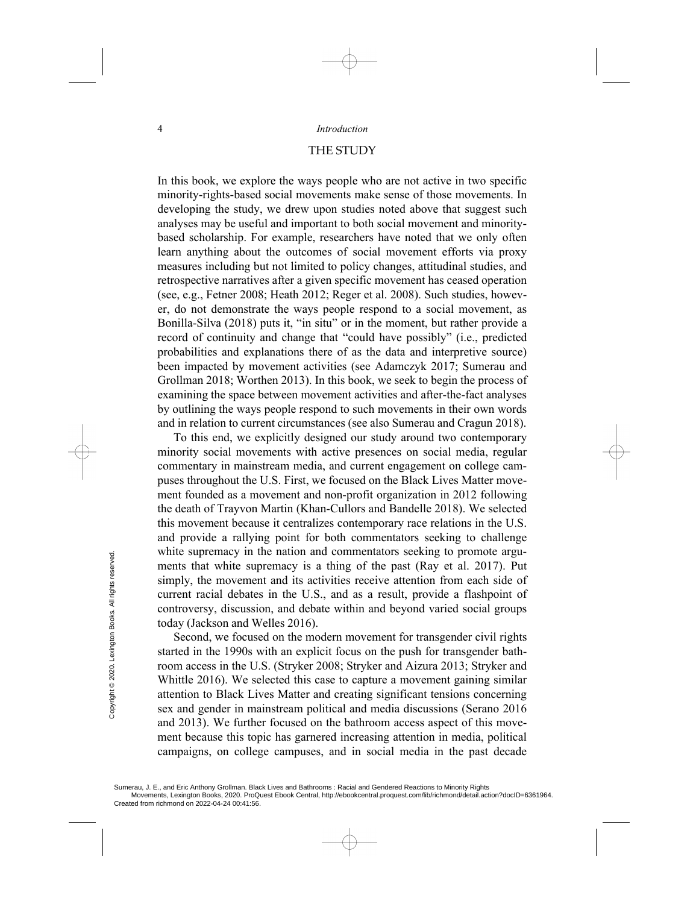## THE STUDY

In this book, we explore the ways people who are not active in two specific minority-rights-based social movements make sense of those movements. In developing the study, we drew upon studies noted above that suggest such analyses may be useful and important to both social movement and minoritybased scholarship. For example, researchers have noted that we only often learn anything about the outcomes of social movement efforts via proxy measures including but not limited to policy changes, attitudinal studies, and retrospective narratives after a given specific movement has ceased operation (see, e.g., Fetner 2008; Heath 2012; Reger et al. 2008). Such studies, however, do not demonstrate the ways people respond to a social movement, as Bonilla-Silva (2018) puts it, "in situ" or in the moment, but rather provide a record of continuity and change that "could have possibly" (i.e., predicted probabilities and explanations there of as the data and interpretive source) been impacted by movement activities (see Adamczyk 2017; Sumerau and Grollman 2018; Worthen 2013). In this book, we seek to begin the process of examining the space between movement activities and after-the-fact analyses by outlining the ways people respond to such movements in their own words and in relation to current circumstances (see also Sumerau and Cragun 2018).

To this end, we explicitly designed our study around two contemporary minority social movements with active presences on social media, regular commentary in mainstream media, and current engagement on college campuses throughout the U.S. First, we focused on the Black Lives Matter movement founded as a movement and non-profit organization in 2012 following the death of Trayvon Martin (Khan-Cullors and Bandelle 2018). We selected this movement because it centralizes contemporary race relations in the U.S. and provide a rallying point for both commentators seeking to challenge white supremacy in the nation and commentators seeking to promote arguments that white supremacy is a thing of the past (Ray et al. 2017). Put simply, the movement and its activities receive attention from each side of current racial debates in the U.S., and as a result, provide a flashpoint of controversy, discussion, and debate within and beyond varied social groups today (Jackson and Welles 2016).

Second, we focused on the modern movement for transgender civil rights started in the 1990s with an explicit focus on the push for transgender bathroom access in the U.S. (Stryker 2008; Stryker and Aizura 2013; Stryker and Whittle 2016). We selected this case to capture a movement gaining similar attention to Black Lives Matter and creating significant tensions concerning sex and gender in mainstream political and media discussions (Serano 2016 and 2013). We further focused on the bathroom access aspect of this movement because this topic has garnered increasing attention in media, political campaigns, on college campuses, and in social media in the past decade Willie supremacy in the ments that white sup-<br>
energy simply, the movement<br>
current racial debates<br>
controversy, discussist<br>
today (Jackson and Warrow Second, we focuse<br>
started in the 1990s v<br>
room access in the U.<br>
Whit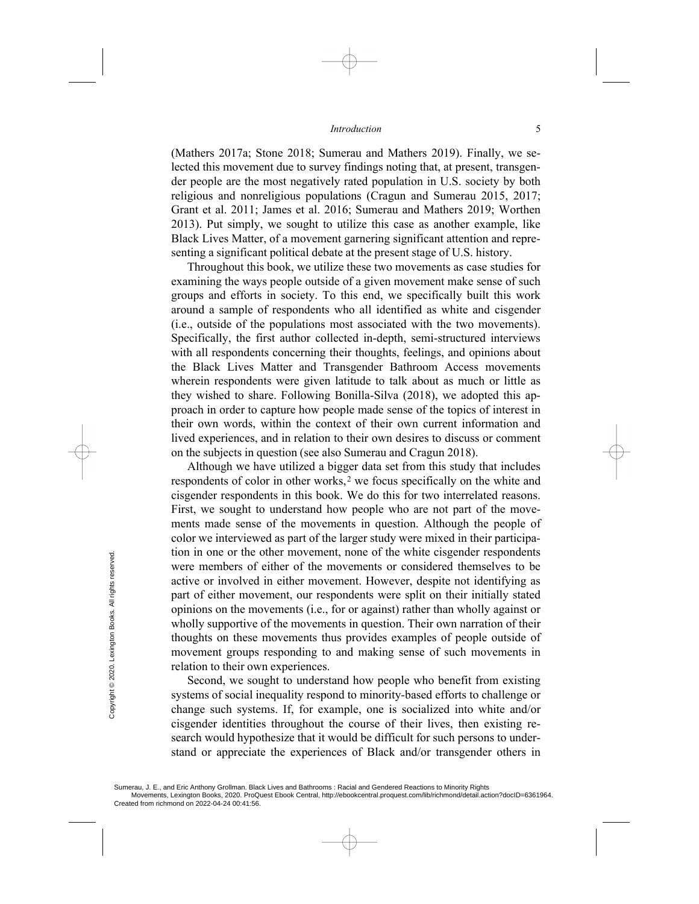(Mathers 2017a; Stone 2018; Sumerau and Mathers 2019). Finally, we selected this movement due to survey findings noting that, at present, transgender people are the most negatively rated population in U.S. society by both religious and nonreligious populations (Cragun and Sumerau 2015, 2017; Grant et al. 2011; James et al. 2016; Sumerau and Mathers 2019; Worthen 2013). Put simply, we sought to utilize this case as another example, like Black Lives Matter, of a movement garnering significant attention and representing a significant political debate at the present stage of U.S. history.

Throughout this book, we utilize these two movements as case studies for examining the ways people outside of a given movement make sense of such groups and efforts in society. To this end, we specifically built this work around a sample of respondents who all identified as white and cisgender (i.e., outside of the populations most associated with the two movements). Specifically, the first author collected in-depth, semi-structured interviews with all respondents concerning their thoughts, feelings, and opinions about the Black Lives Matter and Transgender Bathroom Access movements wherein respondents were given latitude to talk about as much or little as they wished to share. Following Bonilla-Silva (2018), we adopted this approach in order to capture how people made sense of the topics of interest in their own words, within the context of their own current information and lived experiences, and in relation to their own desires to discuss or comment on the subjects in question (see also Sumerau and Cragun 2018).

Although we have utilized a bigger data set from this study that includes respondents of color in other works,<sup>[2](#page-12-1)</sup> we focus specifically on the white and cisgender respondents in this book. We do this for two interrelated reasons. First, we sought to understand how people who are not part of the movements made sense of the movements in question. Although the people of color we interviewed as part of the larger study were mixed in their participation in one or the other movement, none of the white cisgender respondents were members of either of the movements or considered themselves to be active or involved in either movement. However, despite not identifying as part of either movement, our respondents were split on their initially stated opinions on the movements (i.e., for or against) rather than wholly against or wholly supportive of the movements in question. Their own narration of their thoughts on these movements thus provides examples of people outside of movement groups responding to and making sense of such movements in relation to their own experiences. From the state of the state of the state of the state of the the movement state of the movement groups relation to their own second, we soure state of the state of the state of the state of the state of the state of the s

Second, we sought to understand how people who benefit from existing systems of social inequality respond to minority-based efforts to challenge or change such systems. If, for example, one is socialized into white and/or cisgender identities throughout the course of their lives, then existing research would hypothesize that it would be difficult for such persons to understand or appreciate the experiences of Black and/or transgender others in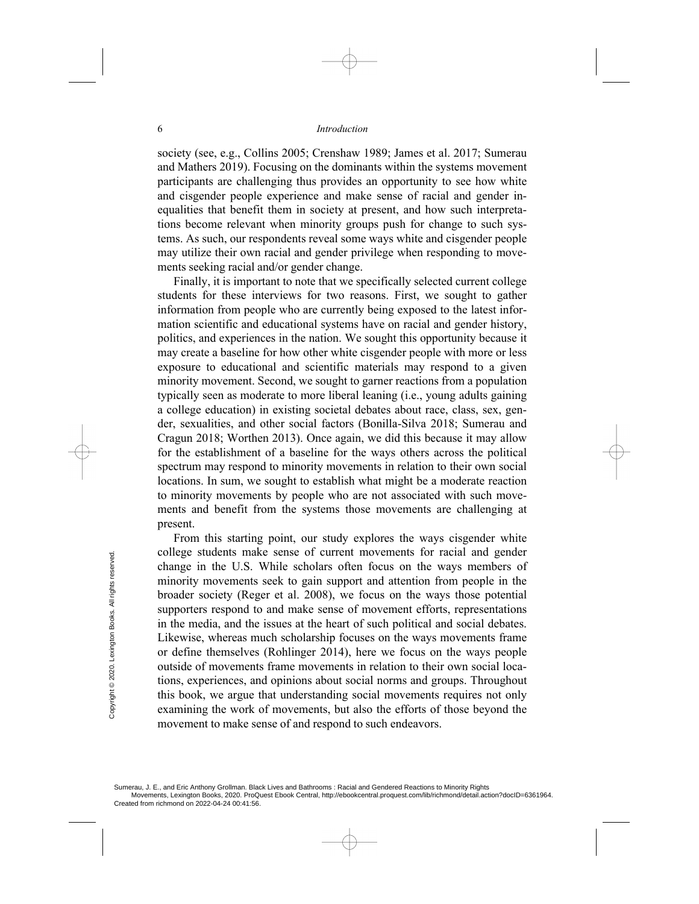society (see, e.g., Collins 2005; Crenshaw 1989; James et al. 2017; Sumerau and Mathers 2019). Focusing on the dominants within the systems movement participants are challenging thus provides an opportunity to see how white and cisgender people experience and make sense of racial and gender inequalities that benefit them in society at present, and how such interpretations become relevant when minority groups push for change to such systems. As such, our respondents reveal some ways white and cisgender people may utilize their own racial and gender privilege when responding to movements seeking racial and/or gender change.

Finally, it is important to note that we specifically selected current college students for these interviews for two reasons. First, we sought to gather information from people who are currently being exposed to the latest information scientific and educational systems have on racial and gender history, politics, and experiences in the nation. We sought this opportunity because it may create a baseline for how other white cisgender people with more or less exposure to educational and scientific materials may respond to a given minority movement. Second, we sought to garner reactions from a population typically seen as moderate to more liberal leaning (i.e., young adults gaining a college education) in existing societal debates about race, class, sex, gender, sexualities, and other social factors (Bonilla-Silva 2018; Sumerau and Cragun 2018; Worthen 2013). Once again, we did this because it may allow for the establishment of a baseline for the ways others across the political spectrum may respond to minority movements in relation to their own social locations. In sum, we sought to establish what might be a moderate reaction to minority movements by people who are not associated with such movements and benefit from the systems those movements are challenging at present.

From this starting point, our study explores the ways cisgender white college students make sense of current movements for racial and gender change in the U.S. While scholars often focus on the ways members of minority movements seek to gain support and attention from people in the broader society (Reger et al. 2008), we focus on the ways those potential supporters respond to and make sense of movement efforts, representations in the media, and the issues at the heart of such political and social debates. Likewise, whereas much scholarship focuses on the ways movements frame or define themselves (Rohlinger 2014), here we focus on the ways people outside of movements frame movements in relation to their own social locations, experiences, and opinions about social norms and groups. Throughout this book, we argue that understanding social movements requires not only examining the work of movements, but also the efforts of those beyond the movement to make sense of and respond to such endeavors. College students make<br>
change in the U.S.<br>
minority movements<br>
broader society (Reg<br>
supporters respond to<br>
in the media, and the<br>
Likewise, whereas m<br>
or define themselves<br>
outside of movement:<br>
tions, experiences, an<br>
t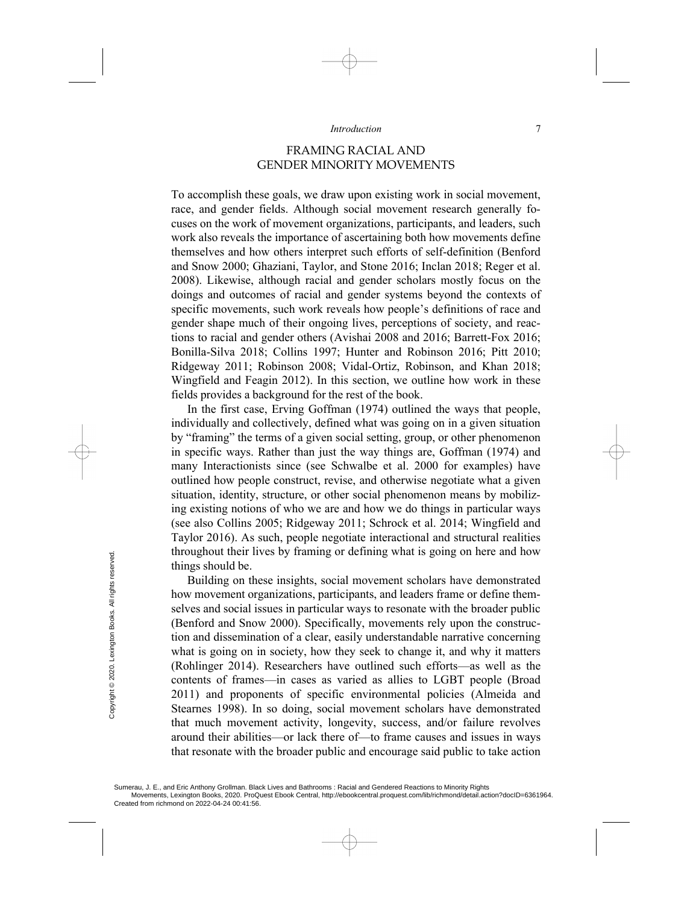## FRAMING RACIAL AND GENDER MINORITY MOVEMENTS

To accomplish these goals, we draw upon existing work in social movement, race, and gender fields. Although social movement research generally focuses on the work of movement organizations, participants, and leaders, such work also reveals the importance of ascertaining both how movements define themselves and how others interpret such efforts of self-definition (Benford and Snow 2000; Ghaziani, Taylor, and Stone 2016; Inclan 2018; Reger et al. 2008). Likewise, although racial and gender scholars mostly focus on the doings and outcomes of racial and gender systems beyond the contexts of specific movements, such work reveals how people's definitions of race and gender shape much of their ongoing lives, perceptions of society, and reactions to racial and gender others (Avishai 2008 and 2016; Barrett-Fox 2016; Bonilla-Silva 2018; Collins 1997; Hunter and Robinson 2016; Pitt 2010; Ridgeway 2011; Robinson 2008; Vidal-Ortiz, Robinson, and Khan 2018; Wingfield and Feagin 2012). In this section, we outline how work in these fields provides a background for the rest of the book.

In the first case, Erving Goffman (1974) outlined the ways that people, individually and collectively, defined what was going on in a given situation by "framing" the terms of a given social setting, group, or other phenomenon in specific ways. Rather than just the way things are, Goffman (1974) and many Interactionists since (see Schwalbe et al. 2000 for examples) have outlined how people construct, revise, and otherwise negotiate what a given situation, identity, structure, or other social phenomenon means by mobilizing existing notions of who we are and how we do things in particular ways (see also Collins 2005; Ridgeway 2011; Schrock et al. 2014; Wingfield and Taylor 2016). As such, people negotiate interactional and structural realities throughout their lives by framing or defining what is going on here and how things should be.

Building on these insights, social movement scholars have demonstrated how movement organizations, participants, and leaders frame or define themselves and social issues in particular ways to resonate with the broader public (Benford and Snow 2000). Specifically, movements rely upon the construction and dissemination of a clear, easily understandable narrative concerning what is going on in society, how they seek to change it, and why it matters (Rohlinger 2014). Researchers have outlined such efforts—as well as the contents of frames—in cases as varied as allies to LGBT people (Broad 2011) and proponents of specific environmental policies (Almeida and Stearnes 1998). In so doing, social movement scholars have demonstrated that much movement activity, longevity, success, and/or failure revolves around their abilities—or lack there of—to frame causes and issues in ways that resonate with the broader public and encourage said public to take action Created from richmond on 2022-04-24 00:41:56. Created from richmond on 2022-04-24 00:41:56. Created from richmond on 2022-04-24 00:41:56. Created from richmond on 2022-04-24 00:41:56.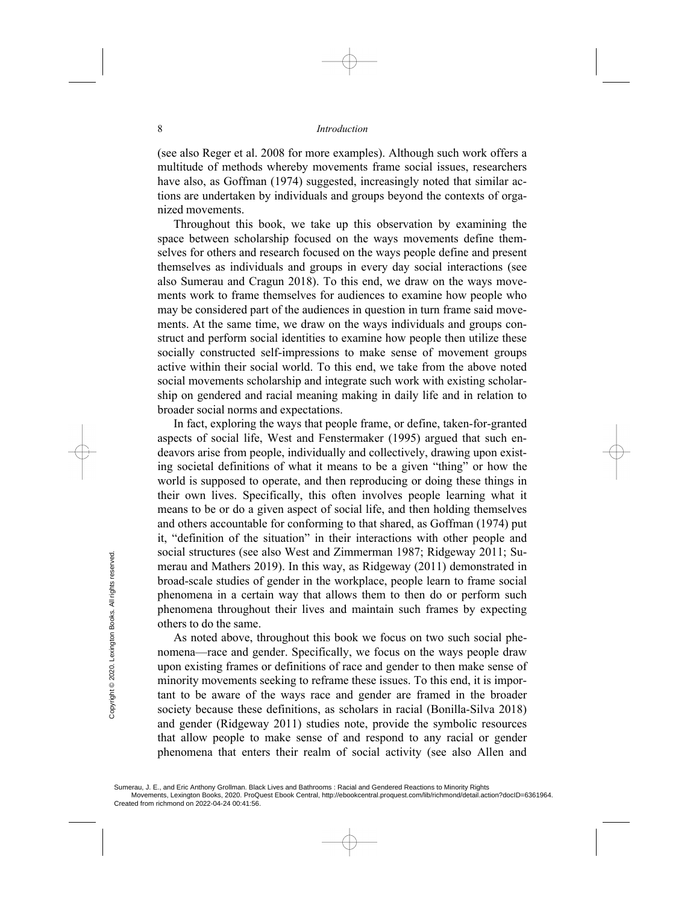(see also Reger et al. 2008 for more examples). Although such work offers a multitude of methods whereby movements frame social issues, researchers have also, as Goffman (1974) suggested, increasingly noted that similar actions are undertaken by individuals and groups beyond the contexts of organized movements.

Throughout this book, we take up this observation by examining the space between scholarship focused on the ways movements define themselves for others and research focused on the ways people define and present themselves as individuals and groups in every day social interactions (see also Sumerau and Cragun 2018). To this end, we draw on the ways movements work to frame themselves for audiences to examine how people who may be considered part of the audiences in question in turn frame said movements. At the same time, we draw on the ways individuals and groups construct and perform social identities to examine how people then utilize these socially constructed self-impressions to make sense of movement groups active within their social world. To this end, we take from the above noted social movements scholarship and integrate such work with existing scholarship on gendered and racial meaning making in daily life and in relation to broader social norms and expectations.

In fact, exploring the ways that people frame, or define, taken-for-granted aspects of social life, West and Fenstermaker (1995) argued that such endeavors arise from people, individually and collectively, drawing upon existing societal definitions of what it means to be a given "thing" or how the world is supposed to operate, and then reproducing or doing these things in their own lives. Specifically, this often involves people learning what it means to be or do a given aspect of social life, and then holding themselves and others accountable for conforming to that shared, as Goffman (1974) put it, "definition of the situation" in their interactions with other people and social structures (see also West and Zimmerman 1987; Ridgeway 2011; Sumerau and Mathers 2019). In this way, as Ridgeway (2011) demonstrated in broad-scale studies of gender in the workplace, people learn to frame social phenomena in a certain way that allows them to then do or perform such phenomena throughout their lives and maintain such frames by expecting others to do the same.

As noted above, throughout this book we focus on two such social phenomena—race and gender. Specifically, we focus on the ways people draw upon existing frames or definitions of race and gender to then make sense of minority movements seeking to reframe these issues. To this end, it is important to be aware of the ways race and gender are framed in the broader society because these definitions, as scholars in racial (Bonilla-Silva 2018) and gender (Ridgeway 2011) studies note, provide the symbolic resources that allow people to make sense of and respond to any racial or gender phenomena that enters their realm of social activity (see also Allen and social structures (see<br>
merau and Mathers 2<br>
broad-scale studies of<br>
phenomena in a cert<br>
phenomena in a cert<br>
phenomena througho<br>
others to do the same.<br>
As noted above, t<br>
nomena—race and ge<br>
upon existing frames<br>
mino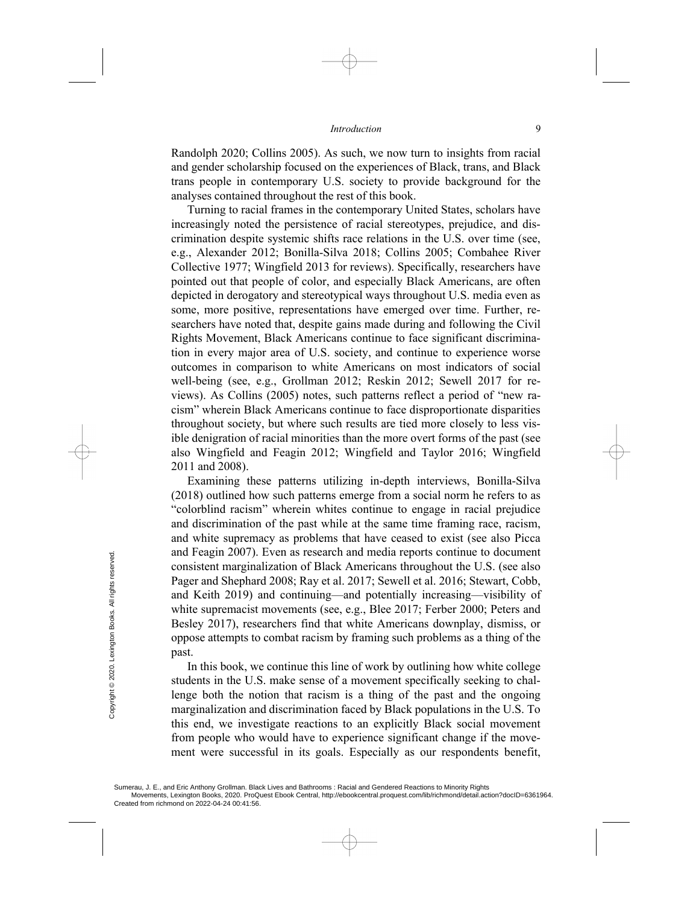Randolph 2020; Collins 2005). As such, we now turn to insights from racial and gender scholarship focused on the experiences of Black, trans, and Black trans people in contemporary U.S. society to provide background for the analyses contained throughout the rest of this book.

Turning to racial frames in the contemporary United States, scholars have increasingly noted the persistence of racial stereotypes, prejudice, and discrimination despite systemic shifts race relations in the U.S. over time (see, e.g., Alexander 2012; Bonilla-Silva 2018; Collins 2005; Combahee River Collective 1977; Wingfield 2013 for reviews). Specifically, researchers have pointed out that people of color, and especially Black Americans, are often depicted in derogatory and stereotypical ways throughout U.S. media even as some, more positive, representations have emerged over time. Further, researchers have noted that, despite gains made during and following the Civil Rights Movement, Black Americans continue to face significant discrimination in every major area of U.S. society, and continue to experience worse outcomes in comparison to white Americans on most indicators of social well-being (see, e.g., Grollman 2012; Reskin 2012; Sewell 2017 for reviews). As Collins (2005) notes, such patterns reflect a period of "new racism" wherein Black Americans continue to face disproportionate disparities throughout society, but where such results are tied more closely to less visible denigration of racial minorities than the more overt forms of the past (see also Wingfield and Feagin 2012; Wingfield and Taylor 2016; Wingfield 2011 and 2008).

Examining these patterns utilizing in-depth interviews, Bonilla-Silva (2018) outlined how such patterns emerge from a social norm he refers to as "colorblind racism" wherein whites continue to engage in racial prejudice and discrimination of the past while at the same time framing race, racism, and white supremacy as problems that have ceased to exist (see also Picca and Feagin 2007). Even as research and media reports continue to document consistent marginalization of Black Americans throughout the U.S. (see also Pager and Shephard 2008; Ray et al. 2017; Sewell et al. 2016; Stewart, Cobb, and Keith 2019) and continuing—and potentially increasing—visibility of white supremacist movements (see, e.g., Blee 2017; Ferber 2000; Peters and Besley 2017), researchers find that white Americans downplay, dismiss, or oppose attempts to combat racism by framing such problems as a thing of the past. From From Texture of Created from richmond on 2022-04-24 00:41:56.<br>
Created from richmond on 2022-04-24 00:41:56.<br>
Created from richmond on 2022-04-24 00:41:56. Created from richmond on 2022-04-24 00:41:56.

In this book, we continue this line of work by outlining how white college students in the U.S. make sense of a movement specifically seeking to challenge both the notion that racism is a thing of the past and the ongoing marginalization and discrimination faced by Black populations in the U.S. To this end, we investigate reactions to an explicitly Black social movement from people who would have to experience significant change if the movement were successful in its goals. Especially as our respondents benefit,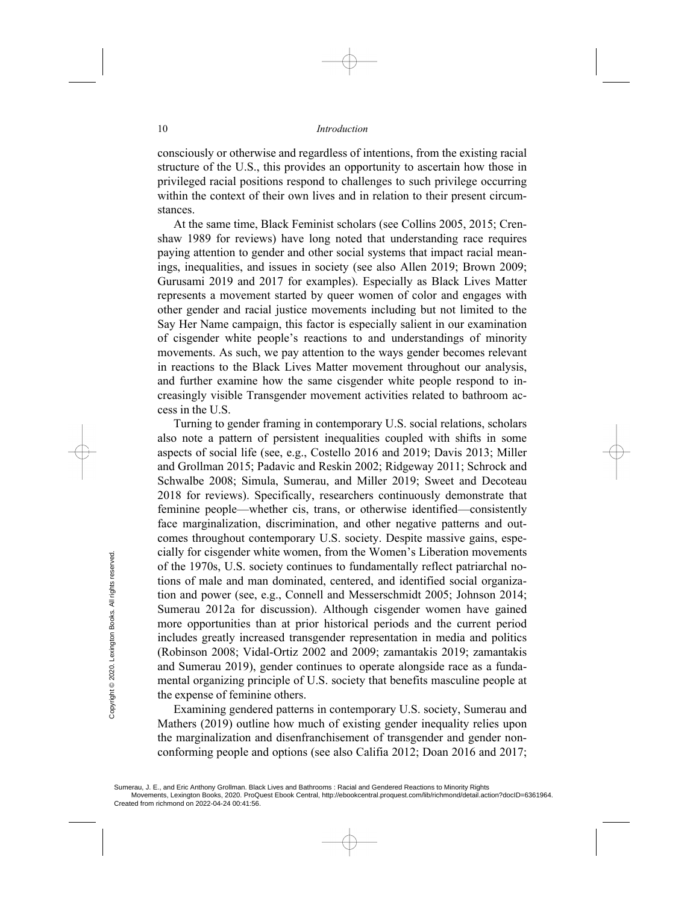consciously or otherwise and regardless of intentions, from the existing racial structure of the U.S., this provides an opportunity to ascertain how those in privileged racial positions respond to challenges to such privilege occurring within the context of their own lives and in relation to their present circumstances.

At the same time, Black Feminist scholars (see Collins 2005, 2015; Crenshaw 1989 for reviews) have long noted that understanding race requires paying attention to gender and other social systems that impact racial meanings, inequalities, and issues in society (see also Allen 2019; Brown 2009; Gurusami 2019 and 2017 for examples). Especially as Black Lives Matter represents a movement started by queer women of color and engages with other gender and racial justice movements including but not limited to the Say Her Name campaign, this factor is especially salient in our examination of cisgender white people's reactions to and understandings of minority movements. As such, we pay attention to the ways gender becomes relevant in reactions to the Black Lives Matter movement throughout our analysis, and further examine how the same cisgender white people respond to increasingly visible Transgender movement activities related to bathroom access in the U.S.

Turning to gender framing in contemporary U.S. social relations, scholars also note a pattern of persistent inequalities coupled with shifts in some aspects of social life (see, e.g., Costello 2016 and 2019; Davis 2013; Miller and Grollman 2015; Padavic and Reskin 2002; Ridgeway 2011; Schrock and Schwalbe 2008; Simula, Sumerau, and Miller 2019; Sweet and Decoteau 2018 for reviews). Specifically, researchers continuously demonstrate that feminine people—whether cis, trans, or otherwise identified—consistently face marginalization, discrimination, and other negative patterns and outcomes throughout contemporary U.S. society. Despite massive gains, especially for cisgender white women, from the Women's Liberation movements of the 1970s, U.S. society continues to fundamentally reflect patriarchal notions of male and man dominated, centered, and identified social organization and power (see, e.g., Connell and Messerschmidt 2005; Johnson 2014; Sumerau 2012a for discussion). Although cisgender women have gained more opportunities than at prior historical periods and the current period includes greatly increased transgender representation in media and politics (Robinson 2008; Vidal-Ortiz 2002 and 2009; zamantakis 2019; zamantakis and Sumerau 2019), gender continues to operate alongside race as a fundamental organizing principle of U.S. society that benefits masculine people at the expense of feminine others. Cratify for Created from inchinmond on 2022-04-24 00:41:56.<br>
Sumerau, J. E., and Eric Anthony Grollman. Black<br>
Created from richmond on 2022-04-24 00:41:56.<br>
Created from richmond on 2022-04-24 00:41:56.

Examining gendered patterns in contemporary U.S. society, Sumerau and Mathers (2019) outline how much of existing gender inequality relies upon the marginalization and disenfranchisement of transgender and gender nonconforming people and options (see also Califia 2012; Doan 2016 and 2017;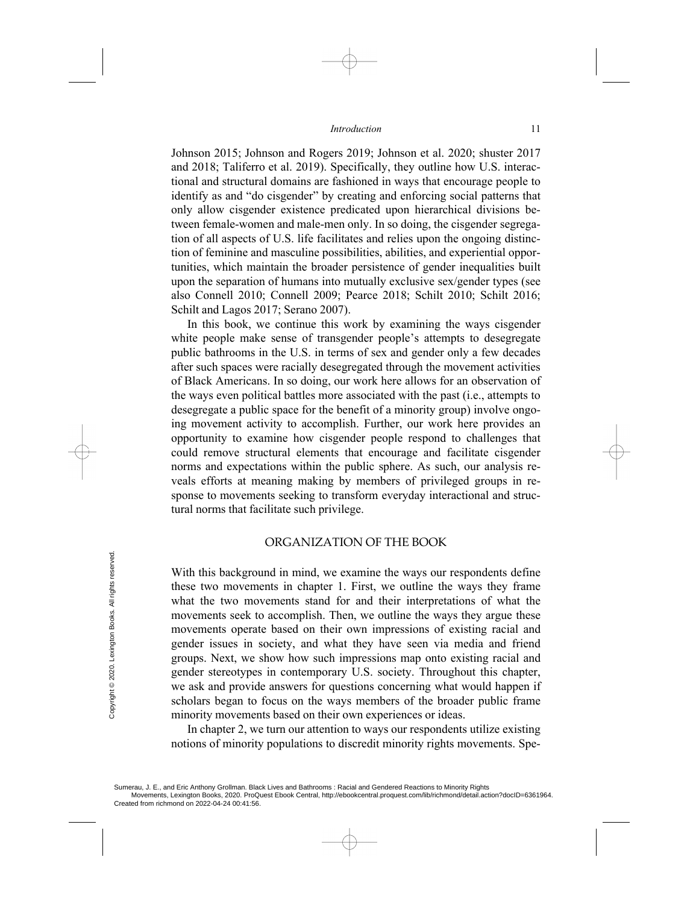Johnson 2015; Johnson and Rogers 2019; Johnson et al. 2020; shuster 2017 and 2018; Taliferro et al. 2019). Specifically, they outline how U.S. interactional and structural domains are fashioned in ways that encourage people to identify as and "do cisgender" by creating and enforcing social patterns that only allow cisgender existence predicated upon hierarchical divisions between female-women and male-men only. In so doing, the cisgender segregation of all aspects of U.S. life facilitates and relies upon the ongoing distinction of feminine and masculine possibilities, abilities, and experiential opportunities, which maintain the broader persistence of gender inequalities built upon the separation of humans into mutually exclusive sex/gender types (see also Connell 2010; Connell 2009; Pearce 2018; Schilt 2010; Schilt 2016; Schilt and Lagos 2017; Serano 2007).

In this book, we continue this work by examining the ways cisgender white people make sense of transgender people's attempts to desegregate public bathrooms in the U.S. in terms of sex and gender only a few decades after such spaces were racially desegregated through the movement activities of Black Americans. In so doing, our work here allows for an observation of the ways even political battles more associated with the past (i.e., attempts to desegregate a public space for the benefit of a minority group) involve ongoing movement activity to accomplish. Further, our work here provides an opportunity to examine how cisgender people respond to challenges that could remove structural elements that encourage and facilitate cisgender norms and expectations within the public sphere. As such, our analysis reveals efforts at meaning making by members of privileged groups in response to movements seeking to transform everyday interactional and structural norms that facilitate such privilege.

## ORGANIZATION OF THE BOOK

With this background in mind, we examine the ways our respondents define these two movements in chapter 1. First, we outline the ways they frame what the two movements stand for and their interpretations of what the movements seek to accomplish. Then, we outline the ways they argue these movements operate based on their own impressions of existing racial and gender issues in society, and what they have seen via media and friend groups. Next, we show how such impressions map onto existing racial and gender stereotypes in contemporary U.S. society. Throughout this chapter, we ask and provide answers for questions concerning what would happen if scholars began to focus on the ways members of the broader public frame minority movements based on their own experiences or ideas. Example 1<br>
Example 2022 Figure 1<br>
Example 2<br>
Example 2<br>
Example 2<br>
Example 2<br>
Example 2<br>
Example 2<br>
Example 2<br>
Example 2<br>
Sumerau, J. E., and Eric Anthony Grollman. Black<br>
Created from richmond on 2022-04-24 00:41:56.<br>
Cr

In chapter 2, we turn our attention to ways our respondents utilize existing notions of minority populations to discredit minority rights movements. Spe-